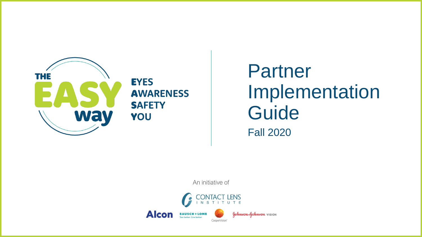

#### **EYES AWARENESS SAFETY** YOU

### Partner Implementation Guide Fall 2020

An initiative of

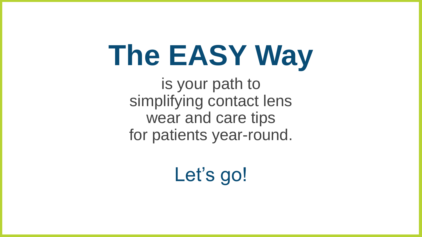# **The EASY Way**

is your path to simplifying contact lens wear and care tips for patients year-round.

Let's go!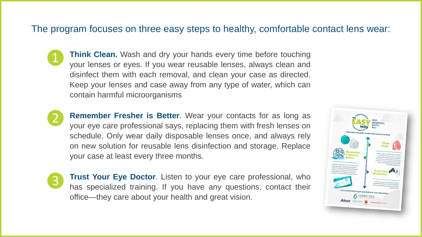#### The program focuses on three easy steps to healthy, comfortable contact lens wear:

- ❶ **Think Clean.** Wash and dry your hands every time before touching your lenses or eyes. If you wear reusable lenses, always clean and disinfect them with each removal, and clean your case as directed. Keep your lenses and case away from any type of water, which can contain harmful microorganisms.
- ❷ **Remember Fresher is Better**. Wear your contacts for as long as your eye care professional says, replacing them with fresh lenses on schedule. Only wear daily disposable lenses once, and always rely on new solution for reusable lens disinfection and storage. Replace your case at least every three months.
- ❸
- **Trust Your Eye Doctor**. Listen to your eye care professional, who has specialized training. If you have any questions, contact their office—they care about your health and great vision.

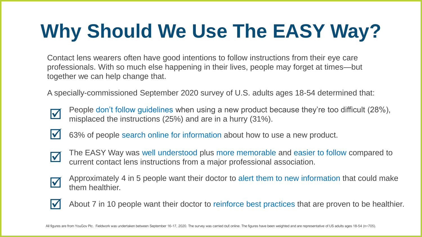## **Why Should We Use The EASY Way?**

Contact lens wearers often have good intentions to follow instructions from their eye care professionals. With so much else happening in their lives, people may forget at times—but together we can help change that.

A specially-commissioned September 2020 survey of U.S. adults ages 18-54 determined that:

- $\blacktriangledown$
- People don't follow guidelines when using a new product because they're too difficult (28%), misplaced the instructions (25%) and are in a hurry (31%).
- 
- 63% of people search online for information about how to use a new product.
- $\blacktriangledown$
- The EASY Way was well understood plus more memorable and easier to follow compared to current contact lens instructions from a major professional association.
- Approximately 4 in 5 people want their doctor to alert them to new information that could make them healthier. **V**
- $\blacktriangledown$
- About 7 in 10 people want their doctor to reinforce best practices that are proven to be healthier.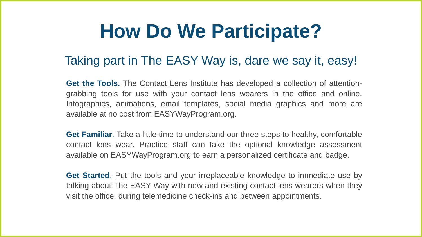## **How Do We Participate?**

### Taking part in The EASY Way is, dare we say it, easy!

**Get the Tools.** The Contact Lens Institute has developed a collection of attentiongrabbing tools for use with your contact lens wearers in the office and online. Infographics, animations, email templates, social media graphics and more are available at no cost from EASYWayProgram.org.

**Get Familiar**. Take a little time to understand our three steps to healthy, comfortable contact lens wear. Practice staff can take the optional knowledge assessment available on EASYWayProgram.org to earn a personalized certificate and badge.

**Get Started**. Put the tools and your irreplaceable knowledge to immediate use by talking about The EASY Way with new and existing contact lens wearers when they visit the office, during telemedicine check-ins and between appointments.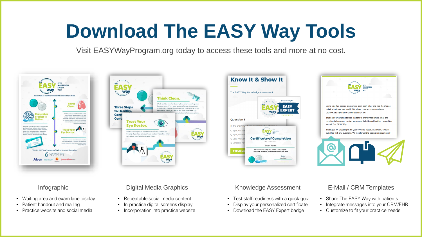## **Download The EASY Way Tools**

Visit EASYWayProgram.org today to access these tools and more at no cost.



- Waiting area and exam lane display
- Patient handout and mailing
- Practice website and social media



- Repeatable social media content
- In-practice digital screens display
- Incorporation into practice website



- Test staff readiness with a quick quiz
- Display your personalized certificate
- Download the EASY Expert badge



#### Infographic **E-Mail / CRM Templates** Digital Media Graphics **Knowledge Assessment** E-Mail / CRM Templates

- Share The EASY Way with patients
- Integrate messages into your CRM/EHR
- Customize to fit your practice needs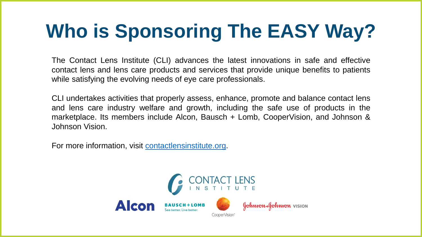## **Who is Sponsoring The EASY Way?**

The Contact Lens Institute (CLI) advances the latest innovations in safe and effective contact lens and lens care products and services that provide unique benefits to patients while satisfying the evolving needs of eye care professionals.

CLI undertakes activities that properly assess, enhance, promote and balance contact lens and lens care industry welfare and growth, including the safe use of products in the marketplace. Its members include Alcon, Bausch + Lomb, CooperVision, and Johnson & Johnson Vision.

For more information, visit [contactlensinstitute.org](http://www.contactlensinstitute.org/).